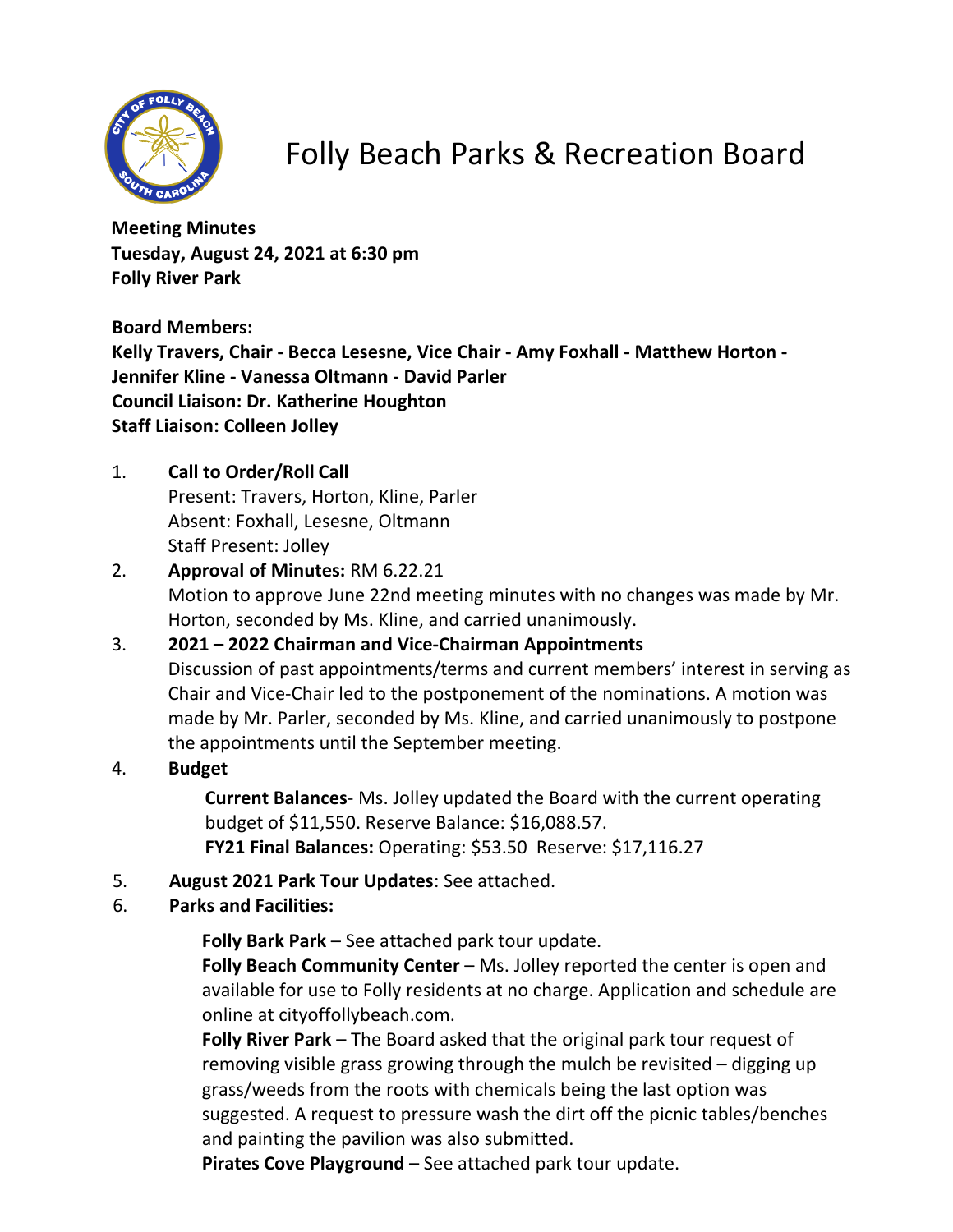

# Folly Beach Parks & Recreation Board

**Meeting Minutes Tuesday, August 24, 2021 at 6:30 pm Folly River Park**

**Board Members: Kelly Travers, Chair - Becca Lesesne, Vice Chair - Amy Foxhall - Matthew Horton - Jennifer Kline - Vanessa Oltmann - David Parler Council Liaison: Dr. Katherine Houghton Staff Liaison: Colleen Jolley**

1. **Call to Order/Roll Call**

Present: Travers, Horton, Kline, Parler Absent: Foxhall, Lesesne, Oltmann Staff Present: Jolley

- 2. **Approval of Minutes:** RM 6.22.21 Motion to approve June 22nd meeting minutes with no changes was made by Mr. Horton, seconded by Ms. Kline, and carried unanimously.
- 3. **2021 2022 Chairman and Vice-Chairman Appointments** Discussion of past appointments/terms and current members' interest in serving as Chair and Vice-Chair led to the postponement of the nominations. A motion was made by Mr. Parler, seconded by Ms. Kline, and carried unanimously to postpone the appointments until the September meeting.
- 4. **Budget**

**Current Balances**- Ms. Jolley updated the Board with the current operating budget of \$11,550. Reserve Balance: \$16,088.57. **FY21 Final Balances:** Operating: \$53.50 Reserve: \$17,116.27

- 5. **August 2021 Park Tour Updates**: See attached.
- 6. **Parks and Facilities:**

**Folly Bark Park** – See attached park tour update.

**Folly Beach Community Center** – Ms. Jolley reported the center is open and available for use to Folly residents at no charge. Application and schedule are online at cityoffollybeach.com.

**Folly River Park** – The Board asked that the original park tour request of removing visible grass growing through the mulch be revisited – digging up grass/weeds from the roots with chemicals being the last option was suggested. A request to pressure wash the dirt off the picnic tables/benches and painting the pavilion was also submitted.

**Pirates Cove Playground** – See attached park tour update.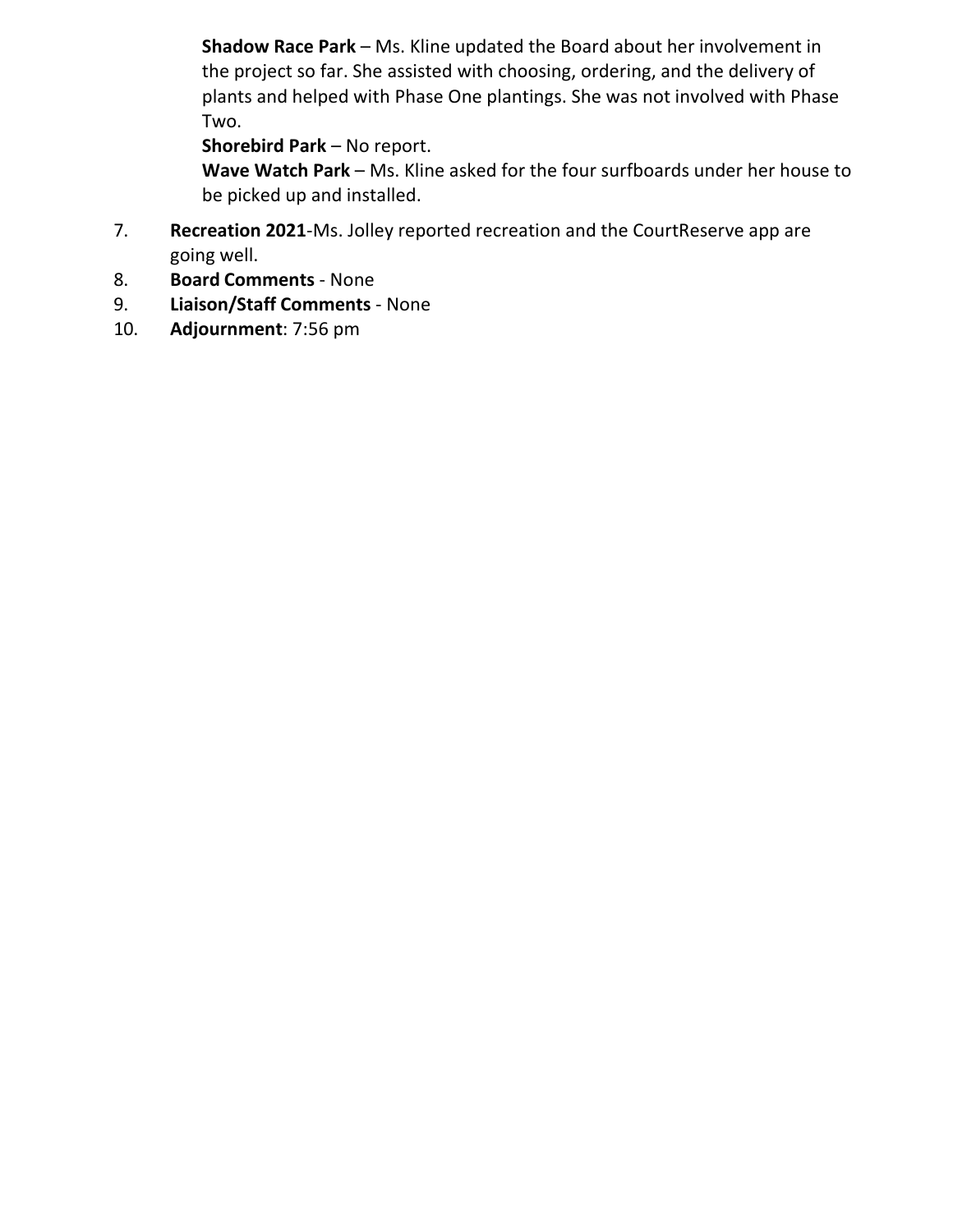**Shadow Race Park** – Ms. Kline updated the Board about her involvement in the project so far. She assisted with choosing, ordering, and the delivery of plants and helped with Phase One plantings. She was not involved with Phase Two.

### **Shorebird Park** – No report.

**Wave Watch Park** – Ms. Kline asked for the four surfboards under her house to be picked up and installed.

- 7. **Recreation 2021**-Ms. Jolley reported recreation and the CourtReserve app are going well.
- 8. **Board Comments** None
- 9. **Liaison/Staff Comments** None
- 10. **Adjournment**: 7:56 pm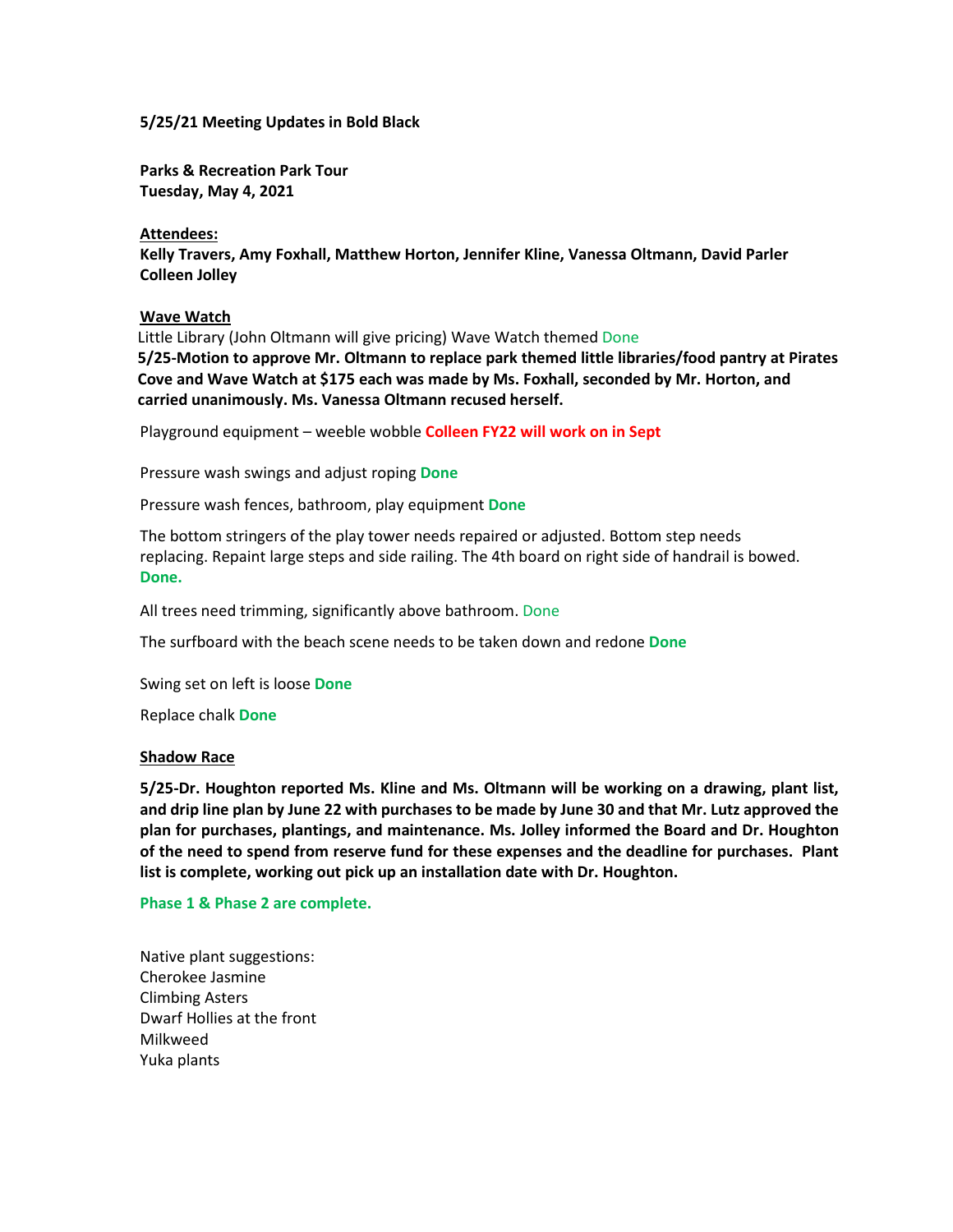#### **5/25/21 Meeting Updates in Bold Black**

**Parks & Recreation Park Tour Tuesday, May 4, 2021**

#### **Attendees:**

**Kelly Travers, Amy Foxhall, Matthew Horton, Jennifer Kline, Vanessa Oltmann, David Parler Colleen Jolley**

#### **Wave Watch**

Little Library (John Oltmann will give pricing) Wave Watch themed Done

**5/25-Motion to approve Mr. Oltmann to replace park themed little libraries/food pantry at Pirates Cove and Wave Watch at \$175 each was made by Ms. Foxhall, seconded by Mr. Horton, and carried unanimously. Ms. Vanessa Oltmann recused herself.**

Playground equipment – weeble wobble **Colleen FY22 will work on in Sept**

Pressure wash swings and adjust roping **Done**

Pressure wash fences, bathroom, play equipment **Done**

The bottom stringers of the play tower needs repaired or adjusted. Bottom step needs replacing. Repaint large steps and side railing. The 4th board on right side of handrail is bowed. **Done.**

All trees need trimming, significantly above bathroom. Done

The surfboard with the beach scene needs to be taken down and redone **Done**

Swing set on left is loose **Done**

Replace chalk **Done**

#### **Shadow Race**

**5/25-Dr. Houghton reported Ms. Kline and Ms. Oltmann will be working on a drawing, plant list, and drip line plan by June 22 with purchases to be made by June 30 and that Mr. Lutz approved the plan for purchases, plantings, and maintenance. Ms. Jolley informed the Board and Dr. Houghton of the need to spend from reserve fund for these expenses and the deadline for purchases. Plant list is complete, working out pick up an installation date with Dr. Houghton.** 

**Phase 1 & Phase 2 are complete.**

Native plant suggestions: Cherokee Jasmine Climbing Asters Dwarf Hollies at the front Milkweed Yuka plants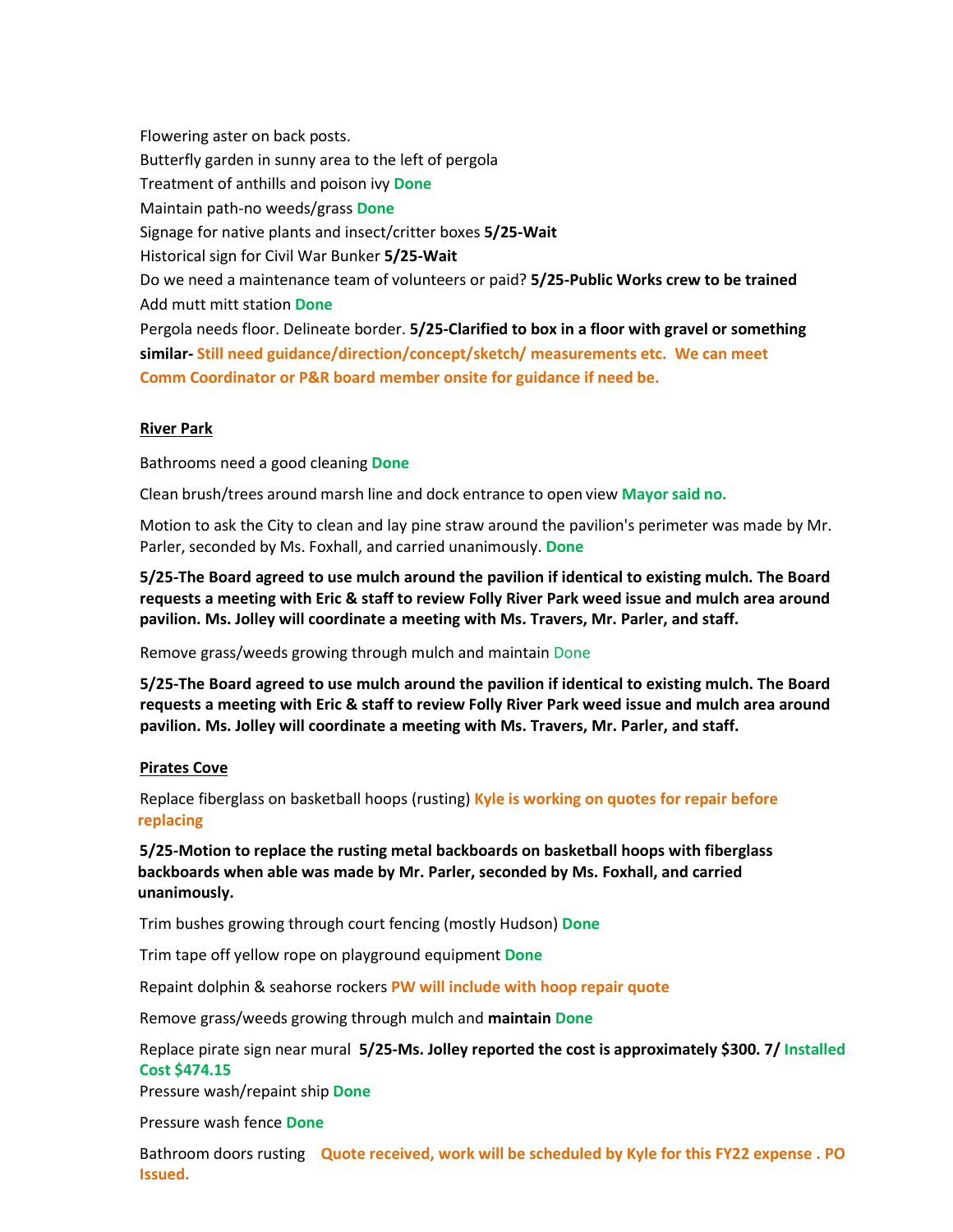Flowering aster on back posts. Butterfly garden in sunny area to the left of pergola Treatment of anthills and poison ivy **Done** Maintain path-no weeds/grass **Done** Signage for native plants and insect/critter boxes **5/25-Wait** Historical sign for Civil War Bunker **5/25-Wait** Do we need a maintenance team of volunteers or paid? **5/25-Public Works crew to be trained** Add mutt mitt station **Done** Pergola needs floor. Delineate border. **5/25-Clarified to box in a floor with gravel or something similar- Still need guidance/direction/concept/sketch/ measurements etc. We can meet** 

## **Comm Coordinator or P&R board member onsite for guidance if need be.**

#### **River Park**

Bathrooms need a good cleaning **Done**

Clean brush/trees around marsh line and dock entrance to open view **Mayorsaid no.**

Motion to ask the City to clean and lay pine straw around the pavilion's perimeter was made by Mr. Parler, seconded by Ms. Foxhall, and carried unanimously. **Done**

**5/25-The Board agreed to use mulch around the pavilion if identical to existing mulch. The Board requests a meeting with Eric & staff to review Folly River Park weed issue and mulch area around pavilion. Ms. Jolley will coordinate a meeting with Ms. Travers, Mr. Parler, and staff.**

Remove grass/weeds growing through mulch and maintain Done

**5/25-The Board agreed to use mulch around the pavilion if identical to existing mulch. The Board requests a meeting with Eric & staff to review Folly River Park weed issue and mulch area around pavilion. Ms. Jolley will coordinate a meeting with Ms. Travers, Mr. Parler, and staff.**

#### **Pirates Cove**

Replace fiberglass on basketball hoops (rusting) **Kyle is working on quotes for repair before replacing**

**5/25-Motion to replace the rusting metal backboards on basketball hoops with fiberglass backboards when able was made by Mr. Parler, seconded by Ms. Foxhall, and carried unanimously.**

Trim bushes growing through court fencing (mostly Hudson) **Done** 

Trim tape off yellow rope on playground equipment **Done**

Repaint dolphin & seahorse rockers **PW will include with hoop repair quote**

Remove grass/weeds growing through mulch and **maintain Done**

Replace pirate sign near mural **5/25-Ms. Jolley reported the cost is approximately \$300. 7/ Installed Cost \$474.15**

Pressure wash/repaint ship **Done**

Pressure wash fence **Done**

Bathroom doors rusting **Quote received, work will be scheduled by Kyle for this FY22 expense . PO Issued.**